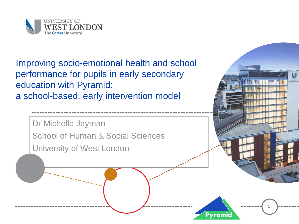

Improving socio-emotional health and school performance for pupils in early secondary education with Pyramid: a school-based, early intervention model

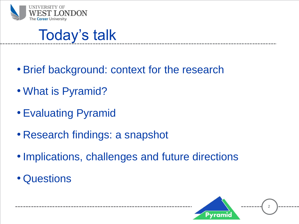

#### Today's talk

- Brief background: context for the research
- What is Pyramid?
- Evaluating Pyramid
- Research findings: a snapshot
- •Implications, challenges and future directions

2

• Questions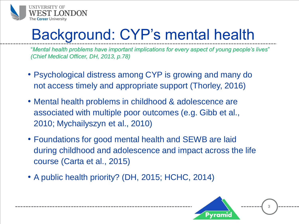

### Background: CYP's mental health

"*Mental health problems have important implications for every aspect of young people's lives*" *(Chief Medical Officer, DH, 2013, p.78)*

- Psychological distress among CYP is growing and many do not access timely and appropriate support (Thorley, 2016)
- Mental health problems in childhood & adolescence are associated with multiple poor outcomes (e.g. Gibb et al., 2010; Mychailyszyn et al., 2010)
- Foundations for good mental health and SEWB are laid during childhood and adolescence and impact across the life course (Carta et al., 2015)
- A public health priority? (DH, 2015; HCHC, 2014)

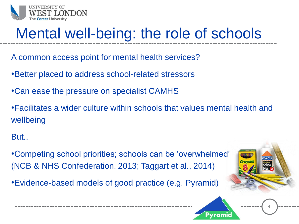

### Mental well-being: the role of schools

- A common access point for mental health services?
- •Better placed to address school-related stressors
- •Can ease the pressure on specialist CAMHS
- •Facilitates a wider culture within schools that values mental health and wellbeing
- But..

•Competing school priorities; schools can be 'overwhelmed' (NCB & NHS Confederation, 2013; Taggart et al., 2014)

•Evidence-based models of good practice (e.g. Pyramid)



4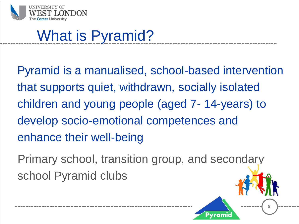

# What is Pyramid?

Pyramid is a manualised, school-based intervention that supports quiet, withdrawn, socially isolated children and young people (aged 7- 14-years) to develop socio-emotional competences and enhance their well-being

Primary school, transition group, and secondary school Pyramid clubs

5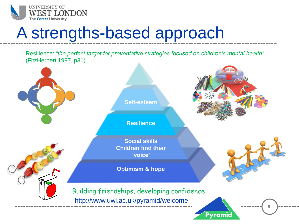

# A strengths-based approach

Resilience: *"the perfect target for preventative strategies focused on children's mental health"*  (FitzHerbert,1997, p31)

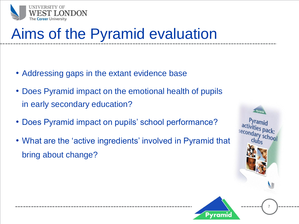

## Aims of the Pyramid evaluation

- Addressing gaps in the extant evidence base
- Does Pyramid impact on the emotional health of pupils in early secondary education?
- Does Pyramid impact on pupils' school performance?
- What are the 'active ingredients' involved in Pyramid that bring about change?



7

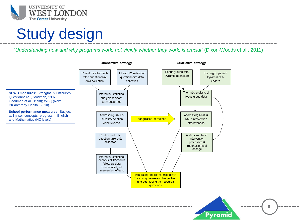

#### Study design

*"Understanding how and why programs work, not simply whether they work, is crucial"* (Dixon-Woods et al., 2011)

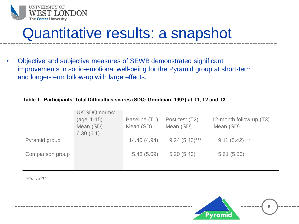

#### Quantitative results: a snapshot

• Objective and subjective measures of SEWB demonstrated significant improvements in socio-emotional well-being for the Pyramid group at short-term and longer-term follow-up with large effects.

#### **Table 1. Participants' Total Difficulties scores (SDQ: Goodman, 1997) at T1, T2 and T3**

|                  | UK SDQ norms:<br>$(age11-15)$<br>Mean (SD) | Baseline (T1)<br>Mean (SD) | Post-test (T2)<br>Mean (SD) | 12-month follow-up (T3)<br>Mean (SD) |
|------------------|--------------------------------------------|----------------------------|-----------------------------|--------------------------------------|
| Pyramid group    | 6.30(6.1)                                  | 14.40 (4.94)               | $9.24(5.43)***$             | $9.11(5.42)$ ***                     |
| Comparison group |                                            | 5.43(5.09)                 | 5.20(5.40)                  | 5.61(5.50)                           |

*\*\*\*p < .001*

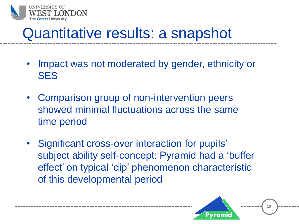

#### Quantitative results: a snapshot

- Impact was not moderated by gender, ethnicity or **SES**
- Comparison group of non-intervention peers showed minimal fluctuations across the same time period
- Significant cross-over interaction for pupils' subject ability self-concept: Pyramid had a 'buffer effect' on typical 'dip' phenomenon characteristic of this developmental period

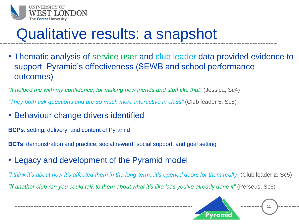

## Qualitative results: a snapshot

• Thematic analysis of service user and club leader data provided evidence to support Pyramid's effectiveness (SEWB and school performance outcomes)

*"It helped me with my confidence, for making new friends and stuff like that"* (Jessica, Sc4)

*"They both ask questions and are so much more interactive in class"* (Club leader 5, Sc5)

• Behaviour change drivers identified

**BCPs**: setting; delivery; and content of Pyramid

**BCTs**: demonstration and practice; social reward; social support; and goal setting

• Legacy and development of the Pyramid model

*"I think it's about how it's affected them in the long-term...it's opened doors for them really"* (Club leader 2, Sc5) *"If another club ran you could talk to them about what it's like 'cos you've already done it"* (Perseus, Sc6)

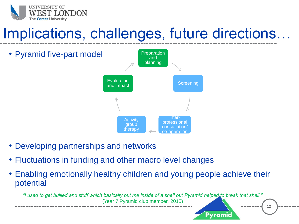

#### Implications, challenges, future directions…



- Developing partnerships and networks
- Fluctuations in funding and other macro level changes
- Enabling emotionally healthy children and young people achieve their potential

*"I used to get bullied and stuff which basically put me inside of a shell but Pyramid helped to break that shell."*  (Year 7 Pyramid club member, 2015)

12

Pyramia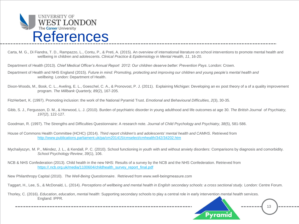

- Carta, M. G., Di Fiandra, T. D., Rampazzo, L., Contu, P., & Preti, A. (2015). An overview of international literature on school interventions to promote mental health and wellbeing in children and adolescents. *Clinical Practice & Epidemiology in Mental Health, 11*, 16-20.
- Department of Health (2013). *Chief Medical Officer's Annual Report 2012: Our children deserve better: Prevention Pays*. London: Crown.
- Department of Health and NHS England (2015). *Future in mind: Promoting, protecting and improving our children and young people's mental health and wellbeing*. London: Department of Health.
- Dixon-Woods, M., Bosk, C. L., Aveling, E. L., Goeschel, C. A., & Pronovost, P. J. (2011). Explaining Michigan: Developing an ex post theory of a of a quality improvement program. *The Millbank Quarterly, 89*(2), 167-205.
- FitzHerbert, K. (1997). Promoting inclusion: the work of the National Pyramid Trust. *Emotional and Behavioural Difficulties, 2*(3), 30-35.
- Gibb, S. J., Fergusson, D. M., & Horwood, L. J. (2010). Burden of psychiatric disorder in young adulthood and life outcomes at age 30. *The British Journal of Psychiatry, 197(2*), 122-127.
- Goodman, R. (1997). The Strengths and Difficulties Questionnaire: A research note. *Journal of Child Psychology and Psychiatry, 38*(5), 581-586.
- House of Commons Health Committee (HCHC) (2014). *Third report children's and adolescents' mental health and CAMHS*. Retrieved from <http://www.publications.parliament.uk/pa/cm201415/cmselect/cmhealth/342/34202.htm>
- Mychailyszyn, M. P., Méndez, J. L., & Kendall, P. C. (2010). School functioning in youth with and without anxiety disorders: Comparisons by diagnosis and comorbidity. *School Psychology Review*, *39*(1), 106.
- NCB & NHS Confederation (2013). Child health in the new NHS: Results of a survey by the NCB and the NHS Confederation. Retrieved from [https://.ncb.org.uk/media/1100604/childhealth\\_survey\\_report\\_final.pdf](https://.ncb.org.uk/media/1100604/childhealth_survey_report_final.pdf)

New Philanthropy Capital (2010). *The Well-Being Questionnaire*. Retrieved from www.well-beingmeasure.com

Taggart, H., Lee, S., & McDonald, L. (2014). *Perceptions of wellbeing and mental health in English secondary schools: a cross sectional study.* London: Centre Forum.

Thorley, C. (2016). *Education*, *education*, *mental health*: Supporting secondary schools to play a central role in early intervention *mental health* services. England: IPPR.